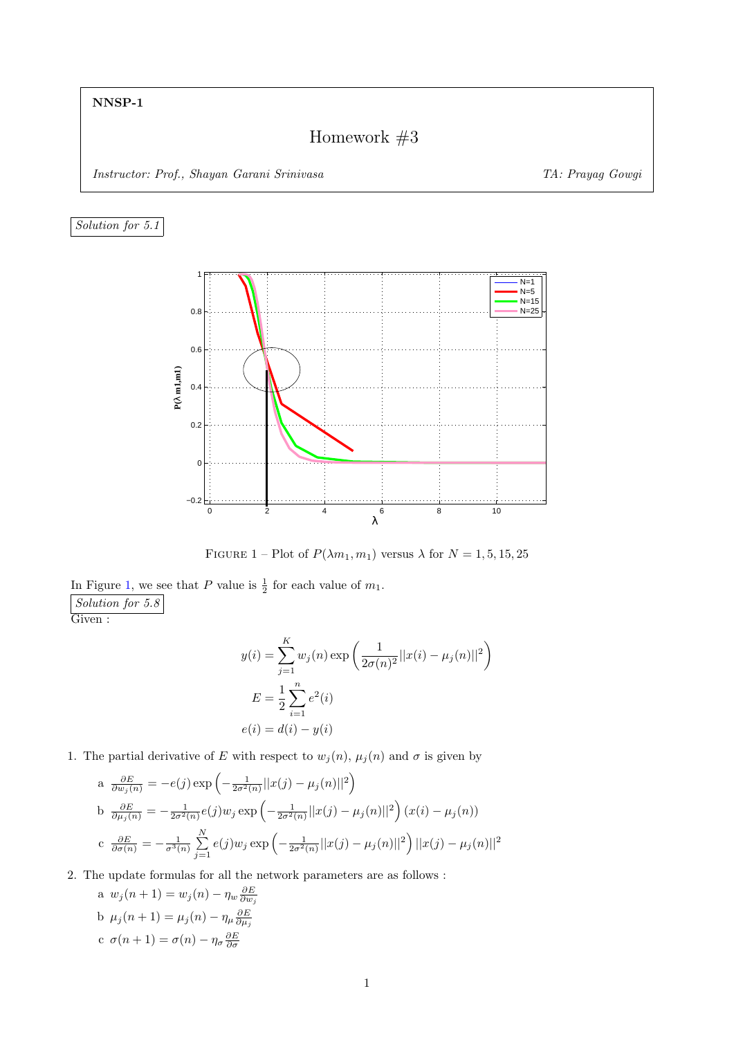## NNSP-1

## Homework  $#3$

## <span id="page-0-0"></span>Solution for 5.1



FIGURE 1 – Plot of  $P(\lambda m_1, m_1)$  versus  $\lambda$  for  $N=1, 5, 15, 25$ 

In Figure [1,](#page-0-0) we see that P value is  $\frac{1}{2}$  for each value of  $m_1$ . Solution for 5.8 Given :

$$
y(i) = \sum_{j=1}^{K} w_j(n) \exp\left(\frac{1}{2\sigma(n)^2} ||x(i) - \mu_j(n)||^2\right)
$$
  

$$
E = \frac{1}{2} \sum_{i=1}^{n} e^2(i)
$$
  

$$
e(i) = d(i) - y(i)
$$

1. The partial derivative of E with respect to  $w_j(n)$ ,  $\mu_j(n)$  and  $\sigma$  is given by

a 
$$
\frac{\partial E}{\partial w_j(n)} = -e(j) \exp\left(-\frac{1}{2\sigma^2(n)}||x(j) - \mu_j(n)||^2\right)
$$
  
b 
$$
\frac{\partial E}{\partial \mu_j(n)} = -\frac{1}{2\sigma^2(n)}e(j)w_j \exp\left(-\frac{1}{2\sigma^2(n)}||x(j) - \mu_j(n)||^2\right)(x(i) - \mu_j(n))
$$
  
c 
$$
\frac{\partial E}{\partial \sigma(n)} = -\frac{1}{\sigma^3(n)}\sum_{j=1}^N e(j)w_j \exp\left(-\frac{1}{2\sigma^2(n)}||x(j) - \mu_j(n)||^2\right)||x(j) - \mu_j(n)||^2
$$

2. The update formulas for all the network parameters are as follows :

a 
$$
w_j(n + 1) = w_j(n) - \eta_w \frac{\partial E}{\partial w_j}
$$
  
b  $\mu_j(n + 1) = \mu_j(n) - \eta_\mu \frac{\partial E}{\partial \mu_j}$   
c  $\sigma(n + 1) = \sigma(n) - \eta_\sigma \frac{\partial E}{\partial \sigma}$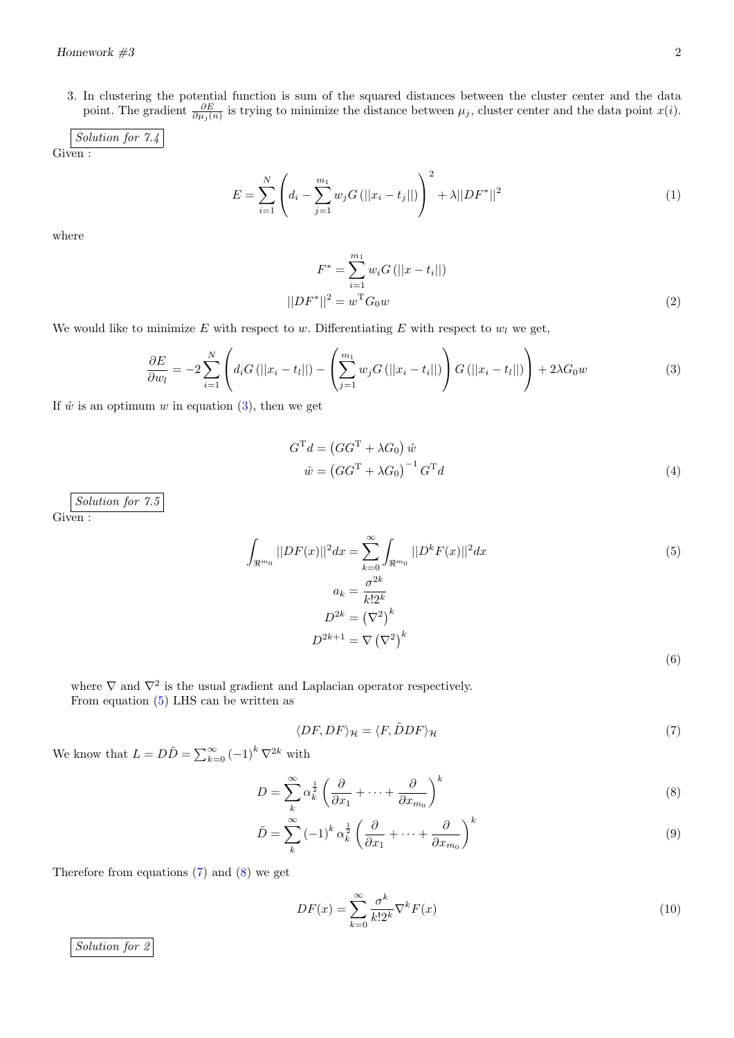3. In clustering the potential function is sum of the squared distances between the cluster center and the data point. The gradient  $\frac{\partial E}{\partial \mu_j(n)}$  is trying to minimize the distance between  $\mu_j$ , cluster center and the data point  $x(i)$ .

$$
\fbox{Given:}\qquad \qquad \boxed{\text{Solution for 7.4}}
$$

$$
E = \sum_{i=1}^{N} \left( d_i - \sum_{j=1}^{m_1} w_j G\left( ||x_i - t_j|| \right) \right)^2 + \lambda ||DF^*||^2 \tag{1}
$$

where

$$
F^* = \sum_{i=1}^{m_1} w_i G(||x - t_i||)
$$

$$
||DF^*||^2 = w^{\mathrm{T}} G_0 w
$$
(2)

We would like to minimize  $E$  with respect to w. Differentiating  $E$  with respect to  $w_l$  we get,

<span id="page-1-0"></span>
$$
\frac{\partial E}{\partial w_l} = -2 \sum_{i=1}^{N} \left( d_i G\left( ||x_i - t_l|| \right) - \left( \sum_{j=1}^{m_1} w_j G\left( ||x_i - t_i|| \right) \right) G\left( ||x_i - t_l|| \right) \right) + 2\lambda G_0 w \tag{3}
$$

If  $\hat{w}$  is an optimum w in equation [\(3\)](#page-1-0), then we get

<span id="page-1-1"></span>
$$
G^{T}d = (GG^{T} + \lambda G_0) \hat{w}
$$
  

$$
\hat{w} = (GG^{T} + \lambda G_0)^{-1} G^{T}d
$$
 (4)

Solution for 7.5

Given :

$$
\int_{\Re^{m_0}} ||DF(x)||^2 dx = \sum_{k=0}^{\infty} \int_{\Re^{m_0}} ||D^k F(x)||^2 dx
$$
\n(5)\n
$$
a_k = \frac{\sigma^{2k}}{k!2^k}
$$
\n
$$
D^{2k} = (\nabla^2)^k
$$
\n
$$
D^{2k+1} = \nabla (\nabla^2)^k
$$
\n(6)

where  $\nabla$  and  $\nabla^2$  is the usual gradient and Laplacian operator respectively. From equation [\(5\)](#page-1-1) LHS can be written as

<span id="page-1-3"></span><span id="page-1-2"></span>
$$
\langle DF, DF \rangle_{\mathcal{H}} = \langle F, \tilde{D}DF \rangle_{\mathcal{H}} \tag{7}
$$

We know that  $L = D\tilde{D} = \sum_{k=0}^{\infty} (-1)^k \nabla^{2k}$  with

$$
D = \sum_{k}^{\infty} \alpha_k^{\frac{1}{2}} \left( \frac{\partial}{\partial x_1} + \dots + \frac{\partial}{\partial x_{m_0}} \right)^k
$$
 (8)

$$
\tilde{D} = \sum_{k}^{\infty} (-1)^{k} \alpha_{k}^{\frac{1}{2}} \left( \frac{\partial}{\partial x_{1}} + \dots + \frac{\partial}{\partial x_{m_{0}}} \right)^{k}
$$
\n(9)

Therefore from equations [\(7\)](#page-1-2) and [\(8\)](#page-1-3) we get

$$
DF(x) = \sum_{k=0}^{\infty} \frac{\sigma^k}{k! 2^k} \nabla^k F(x)
$$
\n(10)

Solution for 2